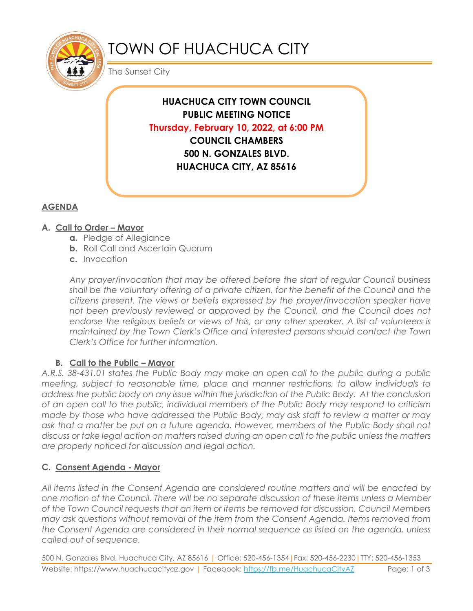

# TOWN OF HUACHUCA CITY

The Sunset City

**HUACHUCA CITY TOWN COUNCIL PUBLIC MEETING NOTICE Thursday, February 10, 2022, at 6:00 PM COUNCIL CHAMBERS 500 N. GONZALES BLVD. HUACHUCA CITY, AZ 85616**

## **AGENDA**

## **A. Call to Order – Mayor**

- **a.** Pledge of Allegiance
- **b.** Roll Call and Ascertain Quorum
- **c.** Invocation

*Any prayer/invocation that may be offered before the start of regular Council business shall be the voluntary offering of a private citizen, for the benefit of the Council and the citizens present. The views or beliefs expressed by the prayer/invocation speaker have*  not been previously reviewed or approved by the Council, and the Council does not endorse the religious beliefs or views of this, or any other speaker. A list of volunteers is *maintained by the Town Clerk's Office and interested persons should contact the Town Clerk's Office for further information.*

## **B.** Call to the Public – Mayor

*A.R.S. 38-431.01 states the Public Body may make an open call to the public during a public meeting, subject to reasonable time, place and manner restrictions, to allow individuals to address the public body on any issue within the jurisdiction of the Public Body. At the conclusion of an open call to the public, individual members of the Public Body may respond to criticism made by those who have addressed the Public Body, may ask staff to review a matter or may*  ask that a matter be put on a future agenda. However, members of the Public Body shall not *discuss or take legal action on matters raised during an open call to the public unless the matters are properly noticed for discussion and legal action.*

## **C. Consent Agenda - Mayor**

*All items listed in the Consent Agenda are considered routine matters and will be enacted by one motion of the Council. There will be no separate discussion of these items unless a Member of the Town Council requests that an item or items be removed for discussion. Council Members may ask questions without removal of the item from the Consent Agenda. Items removed from the Consent Agenda are considered in their normal sequence as listed on the agenda, unless called out of sequence.*

500 N. Gonzales Blvd, Huachuca City, AZ 85616 | Office: 520-456-1354|Fax: 520-456-2230|TTY: 520-456-1353 Website: https://www.huachucacityaz.gov | Facebook:<https://fb.me/HuachucaCityAZ> Page: 1 of 3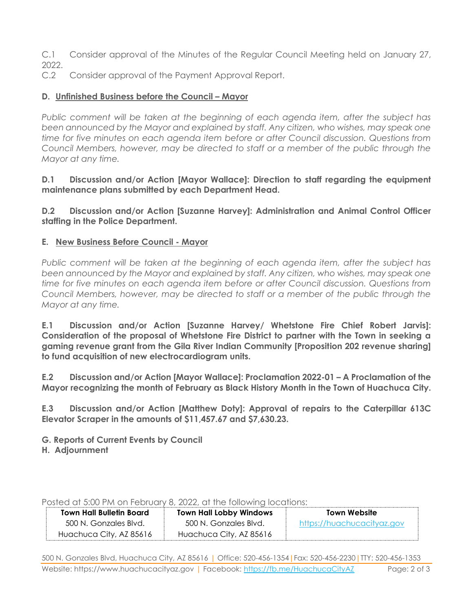C.1 Consider approval of the Minutes of the Regular Council Meeting held on January 27, 2022.

C.2 Consider approval of the Payment Approval Report.

#### **D.** Unfinished Business before the Council – Mayor

*Public comment will be taken at the beginning of each agenda item, after the subject has been announced by the Mayor and explained by staff. Any citizen, who wishes, may speak one time for five minutes on each agenda item before or after Council discussion. Questions from Council Members, however, may be directed to staff or a member of the public through the Mayor at any time.*

**D.1 Discussion and/or Action [Mayor Wallace]: Direction to staff regarding the equipment maintenance plans submitted by each Department Head.**

**D.2 Discussion and/or Action [Suzanne Harvey]: Administration and Animal Control Officer staffing in the Police Department.**

#### **E. New Business Before Council - Mayor**

*Public comment will be taken at the beginning of each agenda item, after the subject has been announced by the Mayor and explained by staff. Any citizen, who wishes, may speak one time for five minutes on each agenda item before or after Council discussion. Questions from Council Members, however, may be directed to staff or a member of the public through the Mayor at any time.* 

**E.1 Discussion and/or Action [Suzanne Harvey/ Whetstone Fire Chief Robert Jarvis]: Consideration of the proposal of Whetstone Fire District to partner with the Town in seeking a gaming revenue grant from the Gila River Indian Community [Proposition 202 revenue sharing] to fund acquisition of new electrocardiogram units.**

**E.2 Discussion and/or Action [Mayor Wallace]: Proclamation 2022-01 – A Proclamation of the Mayor recognizing the month of February as Black History Month in the Town of Huachuca City.** 

**E.3 Discussion and/or Action [Matthew Doty]: Approval of repairs to the Caterpillar 613C Elevator Scraper in the amounts of \$11,457.67 and \$7,630.23.**

**G. Reports of Current Events by Council**

**H. Adjournment**

Posted at 5:00 PM on February 8, 2022, at the following locations:

| <b>Town Hall Bulletin Board</b> | <b>Town Hall Lobby Windows</b> | Town Website               |
|---------------------------------|--------------------------------|----------------------------|
| 500 N. Gonzales Blvd.           | 500 N. Gonzales Blvd.          | https://huachucacityaz.gov |
| Huachuca City, AZ 85616         | Huachuca City, AZ 85616        |                            |

500 N. Gonzales Blvd, Huachuca City, AZ 85616 | Office: 520-456-1354|Fax: 520-456-2230|TTY: 520-456-1353 Website: https://www.huachucacityaz.gov | Facebook:<https://fb.me/HuachucaCityAZ> Page: 2 of 3